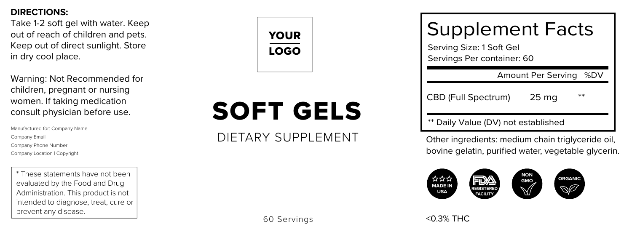#### **DIRECTIONS:**

Take 1-2 soft gel with water. Keep out of reach of children and pets. Keep out of direct sunlight. Store in dry cool place.

Warning: Not Recommended for children, pregnant or nursing women. If taking medication consult physician before use.

Manufactured for: Company Name Company Email Company Phone Number Company Location | Copyright

\* These statements have not been evaluated by the Food and Drug Administration. This product is not intended to diagnose, treat, cure or prevent any disease.



## SOFT GELS

## DIETARY SUPPLEMENT

60 Servings

| <b>Supplement Facts</b><br>Serving Size: 1 Soft Gel<br>Servings Per container: 60                    |
|------------------------------------------------------------------------------------------------------|
| Amount Per Serving<br>%DV                                                                            |
| CBD (Full Spectrum)<br>25 <sub>ma</sub>                                                              |
| ** Daily Value (DV) not established                                                                  |
| Other ingredients: medium chain triglyceride oi<br>bovine gelatin, purified water, vegetable glyceri |
|                                                                                                      |
| <0.3% THC                                                                                            |